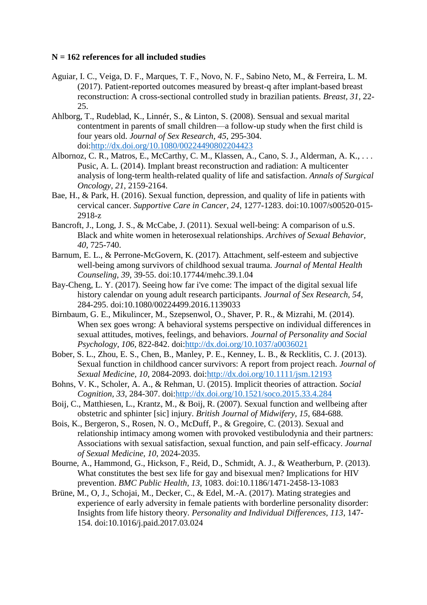## **N = 162 references for all included studies**

- Aguiar, I. C., Veiga, D. F., Marques, T. F., Novo, N. F., Sabino Neto, M., & Ferreira, L. M. (2017). Patient-reported outcomes measured by breast-q after implant-based breast reconstruction: A cross-sectional controlled study in brazilian patients. *Breast, 31*, 22- 25.
- Ahlborg, T., Rudeblad, K., Linnér, S., & Linton, S. (2008). Sensual and sexual marital contentment in parents of small children—a follow-up study when the first child is four years old. *Journal of Sex Research, 45*, 295-304. doi[:http://dx.doi.org/10.1080/00224490802204423](http://dx.doi.org/10.1080/00224490802204423)
- Albornoz, C. R., Matros, E., McCarthy, C. M., Klassen, A., Cano, S. J., Alderman, A. K., ... Pusic, A. L. (2014). Implant breast reconstruction and radiation: A multicenter analysis of long-term health-related quality of life and satisfaction. *Annals of Surgical Oncology, 21*, 2159-2164.
- Bae, H., & Park, H. (2016). Sexual function, depression, and quality of life in patients with cervical cancer. *Supportive Care in Cancer, 24*, 1277-1283. doi:10.1007/s00520-015- 2918-z
- Bancroft, J., Long, J. S., & McCabe, J. (2011). Sexual well-being: A comparison of u.S. Black and white women in heterosexual relationships. *Archives of Sexual Behavior, 40*, 725-740.
- Barnum, E. L., & Perrone-McGovern, K. (2017). Attachment, self-esteem and subjective well-being among survivors of childhood sexual trauma. *Journal of Mental Health Counseling, 39*, 39-55. doi:10.17744/mehc.39.1.04
- Bay-Cheng, L. Y. (2017). Seeing how far i've come: The impact of the digital sexual life history calendar on young adult research participants. *Journal of Sex Research, 54*, 284-295. doi:10.1080/00224499.2016.1139033
- Birnbaum, G. E., Mikulincer, M., Szepsenwol, O., Shaver, P. R., & Mizrahi, M. (2014). When sex goes wrong: A behavioral systems perspective on individual differences in sexual attitudes, motives, feelings, and behaviors. *Journal of Personality and Social Psychology, 106*, 822-842. doi[:http://dx.doi.org/10.1037/a0036021](http://dx.doi.org/10.1037/a0036021)
- Bober, S. L., Zhou, E. S., Chen, B., Manley, P. E., Kenney, L. B., & Recklitis, C. J. (2013). Sexual function in childhood cancer survivors: A report from project reach. *Journal of Sexual Medicine, 10*, 2084-2093. doi[:http://dx.doi.org/10.1111/jsm.12193](http://dx.doi.org/10.1111/jsm.12193)
- Bohns, V. K., Scholer, A. A., & Rehman, U. (2015). Implicit theories of attraction. *Social Cognition, 33*, 284-307. doi[:http://dx.doi.org/10.1521/soco.2015.33.4.284](http://dx.doi.org/10.1521/soco.2015.33.4.284)
- Boij, C., Matthiesen, L., Krantz, M., & Boij, R. (2007). Sexual function and wellbeing after obstetric and sphinter [sic] injury. *British Journal of Midwifery, 15*, 684-688.
- Bois, K., Bergeron, S., Rosen, N. O., McDuff, P., & Gregoire, C. (2013). Sexual and relationship intimacy among women with provoked vestibulodynia and their partners: Associations with sexual satisfaction, sexual function, and pain self-efficacy. *Journal of Sexual Medicine, 10*, 2024-2035.
- Bourne, A., Hammond, G., Hickson, F., Reid, D., Schmidt, A. J., & Weatherburn, P. (2013). What constitutes the best sex life for gay and bisexual men? Implications for HIV prevention. *BMC Public Health, 13*, 1083. doi:10.1186/1471-2458-13-1083
- Brüne, M., O, J., Schojai, M., Decker, C., & Edel, M.-A. (2017). Mating strategies and experience of early adversity in female patients with borderline personality disorder: Insights from life history theory. *Personality and Individual Differences, 113*, 147- 154. doi:10.1016/j.paid.2017.03.024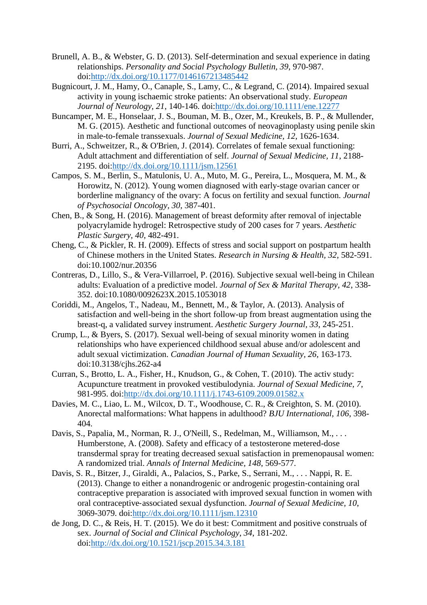- Brunell, A. B., & Webster, G. D. (2013). Self-determination and sexual experience in dating relationships. *Personality and Social Psychology Bulletin, 39*, 970-987. doi[:http://dx.doi.org/10.1177/0146167213485442](http://dx.doi.org/10.1177/0146167213485442)
- Bugnicourt, J. M., Hamy, O., Canaple, S., Lamy, C., & Legrand, C. (2014). Impaired sexual activity in young ischaemic stroke patients: An observational study. *European Journal of Neurology, 21*, 140-146. doi[:http://dx.doi.org/10.1111/ene.12277](http://dx.doi.org/10.1111/ene.12277)
- Buncamper, M. E., Honselaar, J. S., Bouman, M. B., Ozer, M., Kreukels, B. P., & Mullender, M. G. (2015). Aesthetic and functional outcomes of neovaginoplasty using penile skin in male-to-female transsexuals. *Journal of Sexual Medicine, 12*, 1626-1634.
- Burri, A., Schweitzer, R., & O'Brien, J. (2014). Correlates of female sexual functioning: Adult attachment and differentiation of self. *Journal of Sexual Medicine, 11*, 2188- 2195. doi[:http://dx.doi.org/10.1111/jsm.12561](http://dx.doi.org/10.1111/jsm.12561)
- Campos, S. M., Berlin, S., Matulonis, U. A., Muto, M. G., Pereira, L., Mosquera, M. M., & Horowitz, N. (2012). Young women diagnosed with early-stage ovarian cancer or borderline malignancy of the ovary: A focus on fertility and sexual function. *Journal of Psychosocial Oncology, 30*, 387-401.
- Chen, B., & Song, H. (2016). Management of breast deformity after removal of injectable polyacrylamide hydrogel: Retrospective study of 200 cases for 7 years. *Aesthetic Plastic Surgery, 40*, 482-491.
- Cheng, C., & Pickler, R. H. (2009). Effects of stress and social support on postpartum health of Chinese mothers in the United States. *Research in Nursing & Health, 32*, 582-591. doi:10.1002/nur.20356
- Contreras, D., Lillo, S., & Vera-Villarroel, P. (2016). Subjective sexual well-being in Chilean adults: Evaluation of a predictive model. *Journal of Sex & Marital Therapy, 42*, 338- 352. doi:10.1080/0092623X.2015.1053018
- Coriddi, M., Angelos, T., Nadeau, M., Bennett, M., & Taylor, A. (2013). Analysis of satisfaction and well-being in the short follow-up from breast augmentation using the breast-q, a validated survey instrument. *Aesthetic Surgery Journal, 33*, 245-251.
- Crump, L., & Byers, S. (2017). Sexual well-being of sexual minority women in dating relationships who have experienced childhood sexual abuse and/or adolescent and adult sexual victimization. *Canadian Journal of Human Sexuality, 26*, 163-173. doi:10.3138/cjhs.262-a4
- Curran, S., Brotto, L. A., Fisher, H., Knudson, G., & Cohen, T. (2010). The activ study: Acupuncture treatment in provoked vestibulodynia. *Journal of Sexual Medicine, 7*, 981-995. doi[:http://dx.doi.org/10.1111/j.1743-6109.2009.01582.x](http://dx.doi.org/10.1111/j.1743-6109.2009.01582.x)
- Davies, M. C., Liao, L. M., Wilcox, D. T., Woodhouse, C. R., & Creighton, S. M. (2010). Anorectal malformations: What happens in adulthood? *BJU International, 106*, 398- 404.
- Davis, S., Papalia, M., Norman, R. J., O'Neill, S., Redelman, M., Williamson, M., . . . Humberstone, A. (2008). Safety and efficacy of a testosterone metered-dose transdermal spray for treating decreased sexual satisfaction in premenopausal women: A randomized trial. *Annals of Internal Medicine, 148*, 569-577.
- Davis, S. R., Bitzer, J., Giraldi, A., Palacios, S., Parke, S., Serrani, M., . . . Nappi, R. E. (2013). Change to either a nonandrogenic or androgenic progestin‐containing oral contraceptive preparation is associated with improved sexual function in women with oral contraceptive‐associated sexual dysfunction. *Journal of Sexual Medicine, 10*, 3069-3079. doi[:http://dx.doi.org/10.1111/jsm.12310](http://dx.doi.org/10.1111/jsm.12310)
- de Jong, D. C., & Reis, H. T. (2015). We do it best: Commitment and positive construals of sex. *Journal of Social and Clinical Psychology, 34*, 181-202. doi[:http://dx.doi.org/10.1521/jscp.2015.34.3.181](http://dx.doi.org/10.1521/jscp.2015.34.3.181)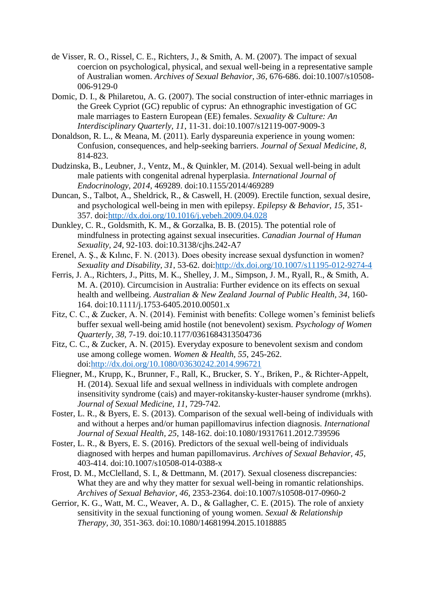- de Visser, R. O., Rissel, C. E., Richters, J., & Smith, A. M. (2007). The impact of sexual coercion on psychological, physical, and sexual well-being in a representative sample of Australian women. *Archives of Sexual Behavior, 36*, 676-686. doi:10.1007/s10508- 006-9129-0
- Domic, D. I., & Philaretou, A. G. (2007). The social construction of inter-ethnic marriages in the Greek Cypriot (GC) republic of cyprus: An ethnographic investigation of GC male marriages to Eastern European (EE) females. *Sexuality & Culture: An Interdisciplinary Quarterly, 11*, 11-31. doi:10.1007/s12119-007-9009-3
- Donaldson, R. L., & Meana, M. (2011). Early dyspareunia experience in young women: Confusion, consequences, and help-seeking barriers. *Journal of Sexual Medicine, 8*, 814-823.
- Dudzinska, B., Leubner, J., Ventz, M., & Quinkler, M. (2014). Sexual well-being in adult male patients with congenital adrenal hyperplasia. *International Journal of Endocrinology, 2014*, 469289. doi:10.1155/2014/469289
- Duncan, S., Talbot, A., Sheldrick, R., & Caswell, H. (2009). Erectile function, sexual desire, and psychological well-being in men with epilepsy. *Epilepsy & Behavior, 15*, 351- 357. doi[:http://dx.doi.org/10.1016/j.yebeh.2009.04.028](http://dx.doi.org/10.1016/j.yebeh.2009.04.028)
- Dunkley, C. R., Goldsmith, K. M., & Gorzalka, B. B. (2015). The potential role of mindfulness in protecting against sexual insecurities. *Canadian Journal of Human Sexuality, 24*, 92-103. doi:10.3138/cjhs.242-A7
- Erenel, A. Ş., & Kılınc, F. N. (2013). Does obesity increase sexual dysfunction in women? *Sexuality and Disability, 31*, 53-62. doi[:http://dx.doi.org/10.1007/s11195-012-9274-4](http://dx.doi.org/10.1007/s11195-012-9274-4)
- Ferris, J. A., Richters, J., Pitts, M. K., Shelley, J. M., Simpson, J. M., Ryall, R., & Smith, A. M. A. (2010). Circumcision in Australia: Further evidence on its effects on sexual health and wellbeing. *Australian & New Zealand Journal of Public Health, 34*, 160- 164. doi:10.1111/j.1753-6405.2010.00501.x
- Fitz, C. C., & Zucker, A. N. (2014). Feminist with benefits: College women's feminist beliefs buffer sexual well-being amid hostile (not benevolent) sexism. *Psychology of Women Quarterly, 38*, 7-19. doi:10.1177/0361684313504736
- Fitz, C. C., & Zucker, A. N. (2015). Everyday exposure to benevolent sexism and condom use among college women. *Women & Health, 55*, 245-262. doi[:http://dx.doi.org/10.1080/03630242.2014.996721](http://dx.doi.org/10.1080/03630242.2014.996721)
- Fliegner, M., Krupp, K., Brunner, F., Rall, K., Brucker, S. Y., Briken, P., & Richter-Appelt, H. (2014). Sexual life and sexual wellness in individuals with complete androgen insensitivity syndrome (cais) and mayer-rokitansky-kuster-hauser syndrome (mrkhs). *Journal of Sexual Medicine, 11*, 729-742.
- Foster, L. R., & Byers, E. S. (2013). Comparison of the sexual well-being of individuals with and without a herpes and/or human papillomavirus infection diagnosis. *International Journal of Sexual Health, 25*, 148-162. doi:10.1080/19317611.2012.739596
- Foster, L. R., & Byers, E. S. (2016). Predictors of the sexual well-being of individuals diagnosed with herpes and human papillomavirus. *Archives of Sexual Behavior, 45*, 403-414. doi:10.1007/s10508-014-0388-x
- Frost, D. M., McClelland, S. I., & Dettmann, M. (2017). Sexual closeness discrepancies: What they are and why they matter for sexual well-being in romantic relationships. *Archives of Sexual Behavior, 46*, 2353-2364. doi:10.1007/s10508-017-0960-2
- Gerrior, K. G., Watt, M. C., Weaver, A. D., & Gallagher, C. E. (2015). The role of anxiety sensitivity in the sexual functioning of young women. *Sexual & Relationship Therapy, 30*, 351-363. doi:10.1080/14681994.2015.1018885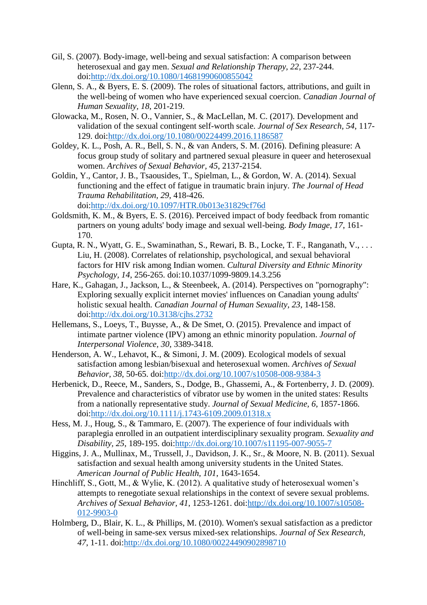- Gil, S. (2007). Body-image, well-being and sexual satisfaction: A comparison between heterosexual and gay men. *Sexual and Relationship Therapy, 22*, 237-244. doi[:http://dx.doi.org/10.1080/14681990600855042](http://dx.doi.org/10.1080/14681990600855042)
- Glenn, S. A., & Byers, E. S. (2009). The roles of situational factors, attributions, and guilt in the well-being of women who have experienced sexual coercion. *Canadian Journal of Human Sexuality, 18*, 201-219.
- Glowacka, M., Rosen, N. O., Vannier, S., & MacLellan, M. C. (2017). Development and validation of the sexual contingent self-worth scale. *Journal of Sex Research, 54*, 117- 129. doi[:http://dx.doi.org/10.1080/00224499.2016.1186587](http://dx.doi.org/10.1080/00224499.2016.1186587)
- Goldey, K. L., Posh, A. R., Bell, S. N., & van Anders, S. M. (2016). Defining pleasure: A focus group study of solitary and partnered sexual pleasure in queer and heterosexual women. *Archives of Sexual Behavior, 45*, 2137-2154.
- Goldin, Y., Cantor, J. B., Tsaousides, T., Spielman, L., & Gordon, W. A. (2014). Sexual functioning and the effect of fatigue in traumatic brain injury. *The Journal of Head Trauma Rehabilitation, 29*, 418-426. doi[:http://dx.doi.org/10.1097/HTR.0b013e31829cf76d](http://dx.doi.org/10.1097/HTR.0b013e31829cf76d)
- Goldsmith, K. M., & Byers, E. S. (2016). Perceived impact of body feedback from romantic partners on young adults' body image and sexual well-being. *Body Image, 17*, 161- 170.
- Gupta, R. N., Wyatt, G. E., Swaminathan, S., Rewari, B. B., Locke, T. F., Ranganath, V., . . . Liu, H. (2008). Correlates of relationship, psychological, and sexual behavioral factors for HIV risk among Indian women. *Cultural Diversity and Ethnic Minority Psychology, 14*, 256-265. doi:10.1037/1099-9809.14.3.256
- Hare, K., Gahagan, J., Jackson, L., & Steenbeek, A. (2014). Perspectives on "pornography": Exploring sexually explicit internet movies' influences on Canadian young adults' holistic sexual health. *Canadian Journal of Human Sexuality, 23*, 148-158. doi[:http://dx.doi.org/10.3138/cjhs.2732](http://dx.doi.org/10.3138/cjhs.2732)
- Hellemans, S., Loeys, T., Buysse, A., & De Smet, O. (2015). Prevalence and impact of intimate partner violence (IPV) among an ethnic minority population. *Journal of Interpersonal Violence, 30*, 3389-3418.
- Henderson, A. W., Lehavot, K., & Simoni, J. M. (2009). Ecological models of sexual satisfaction among lesbian/bisexual and heterosexual women. *Archives of Sexual Behavior, 38*, 50-65. doi[:http://dx.doi.org/10.1007/s10508-008-9384-3](http://dx.doi.org/10.1007/s10508-008-9384-3)
- Herbenick, D., Reece, M., Sanders, S., Dodge, B., Ghassemi, A., & Fortenberry, J. D. (2009). Prevalence and characteristics of vibrator use by women in the united states: Results from a nationally representative study. *Journal of Sexual Medicine, 6*, 1857-1866. doi[:http://dx.doi.org/10.1111/j.1743-6109.2009.01318.x](http://dx.doi.org/10.1111/j.1743-6109.2009.01318.x)
- Hess, M. J., Houg, S., & Tammaro, E. (2007). The experience of four individuals with paraplegia enrolled in an outpatient interdisciplinary sexuality program. *Sexuality and Disability, 25*, 189-195. doi[:http://dx.doi.org/10.1007/s11195-007-9055-7](http://dx.doi.org/10.1007/s11195-007-9055-7)
- Higgins, J. A., Mullinax, M., Trussell, J., Davidson, J. K., Sr., & Moore, N. B. (2011). Sexual satisfaction and sexual health among university students in the United States. *American Journal of Public Health, 101*, 1643-1654.
- Hinchliff, S., Gott, M., & Wylie, K. (2012). A qualitative study of heterosexual women's attempts to renegotiate sexual relationships in the context of severe sexual problems. *Archives of Sexual Behavior, 41*, 1253-1261. doi[:http://dx.doi.org/10.1007/s10508-](http://dx.doi.org/10.1007/s10508-012-9903-0) [012-9903-0](http://dx.doi.org/10.1007/s10508-012-9903-0)
- Holmberg, D., Blair, K. L., & Phillips, M. (2010). Women's sexual satisfaction as a predictor of well-being in same-sex versus mixed-sex relationships. *Journal of Sex Research, 47*, 1-11. doi[:http://dx.doi.org/10.1080/00224490902898710](http://dx.doi.org/10.1080/00224490902898710)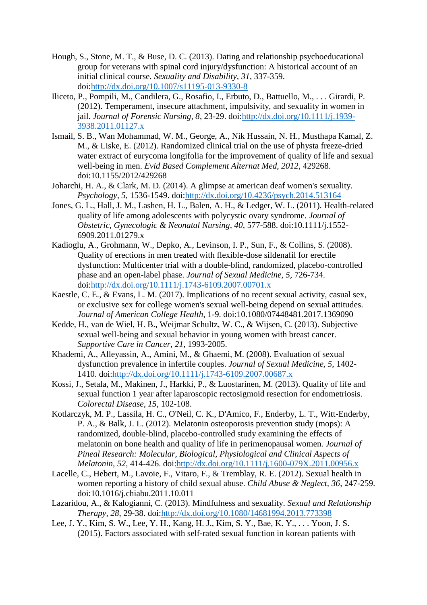- Hough, S., Stone, M. T., & Buse, D. C. (2013). Dating and relationship psychoeducational group for veterans with spinal cord injury/dysfunction: A historical account of an initial clinical course. *Sexuality and Disability, 31*, 337-359. doi[:http://dx.doi.org/10.1007/s11195-013-9330-8](http://dx.doi.org/10.1007/s11195-013-9330-8)
- Iliceto, P., Pompili, M., Candilera, G., Rosafio, I., Erbuto, D., Battuello, M., . . . Girardi, P. (2012). Temperament, insecure attachment, impulsivity, and sexuality in women in jail. *Journal of Forensic Nursing, 8*, 23-29. doi[:http://dx.doi.org/10.1111/j.1939-](http://dx.doi.org/10.1111/j.1939-3938.2011.01127.x) [3938.2011.01127.x](http://dx.doi.org/10.1111/j.1939-3938.2011.01127.x)
- Ismail, S. B., Wan Mohammad, W. M., George, A., Nik Hussain, N. H., Musthapa Kamal, Z. M., & Liske, E. (2012). Randomized clinical trial on the use of physta freeze-dried water extract of eurycoma longifolia for the improvement of quality of life and sexual well-being in men. *Evid Based Complement Alternat Med, 2012*, 429268. doi:10.1155/2012/429268
- Joharchi, H. A., & Clark, M. D. (2014). A glimpse at american deaf women's sexuality. *Psychology, 5*, 1536-1549. doi[:http://dx.doi.org/10.4236/psych.2014.513164](http://dx.doi.org/10.4236/psych.2014.513164)
- Jones, G. L., Hall, J. M., Lashen, H. L., Balen, A. H., & Ledger, W. L. (2011). Health-related quality of life among adolescents with polycystic ovary syndrome. *Journal of Obstetric, Gynecologic & Neonatal Nursing, 40*, 577-588. doi:10.1111/j.1552- 6909.2011.01279.x
- Kadioglu, A., Grohmann, W., Depko, A., Levinson, I. P., Sun, F., & Collins, S. (2008). Quality of erections in men treated with flexible-dose sildenafil for erectile dysfunction: Multicenter trial with a double-blind, randomized, placebo-controlled phase and an open-label phase. *Journal of Sexual Medicine, 5*, 726-734. doi[:http://dx.doi.org/10.1111/j.1743-6109.2007.00701.x](http://dx.doi.org/10.1111/j.1743-6109.2007.00701.x)
- Kaestle, C. E., & Evans, L. M. (2017). Implications of no recent sexual activity, casual sex, or exclusive sex for college women's sexual well-being depend on sexual attitudes. *Journal of American College Health*, 1-9. doi:10.1080/07448481.2017.1369090
- Kedde, H., van de Wiel, H. B., Weijmar Schultz, W. C., & Wijsen, C. (2013). Subjective sexual well-being and sexual behavior in young women with breast cancer. *Supportive Care in Cancer, 21*, 1993-2005.
- Khademi, A., Alleyassin, A., Amini, M., & Ghaemi, M. (2008). Evaluation of sexual dysfunction prevalence in infertile couples. *Journal of Sexual Medicine, 5*, 1402- 1410. doi[:http://dx.doi.org/10.1111/j.1743-6109.2007.00687.x](http://dx.doi.org/10.1111/j.1743-6109.2007.00687.x)
- Kossi, J., Setala, M., Makinen, J., Harkki, P., & Luostarinen, M. (2013). Quality of life and sexual function 1 year after laparoscopic rectosigmoid resection for endometriosis. *Colorectal Disease, 15*, 102-108.
- Kotlarczyk, M. P., Lassila, H. C., O'Neil, C. K., D'Amico, F., Enderby, L. T., Witt‐Enderby, P. A., & Balk, J. L. (2012). Melatonin osteoporosis prevention study (mops): A randomized, double‐blind, placebo‐controlled study examining the effects of melatonin on bone health and quality of life in perimenopausal women. *Journal of Pineal Research: Molecular, Biological, Physiological and Clinical Aspects of Melatonin, 52*, 414-426. doi[:http://dx.doi.org/10.1111/j.1600-079X.2011.00956.x](http://dx.doi.org/10.1111/j.1600-079X.2011.00956.x)
- Lacelle, C., Hebert, M., Lavoie, F., Vitaro, F., & Tremblay, R. E. (2012). Sexual health in women reporting a history of child sexual abuse. *Child Abuse & Neglect, 36*, 247-259. doi:10.1016/j.chiabu.2011.10.011
- Lazaridou, A., & Kalogianni, C. (2013). Mindfulness and sexuality. *Sexual and Relationship Therapy, 28*, 29-38. doi[:http://dx.doi.org/10.1080/14681994.2013.773398](http://dx.doi.org/10.1080/14681994.2013.773398)
- Lee, J. Y., Kim, S. W., Lee, Y. H., Kang, H. J., Kim, S. Y., Bae, K. Y., . . . Yoon, J. S. (2015). Factors associated with self‐rated sexual function in korean patients with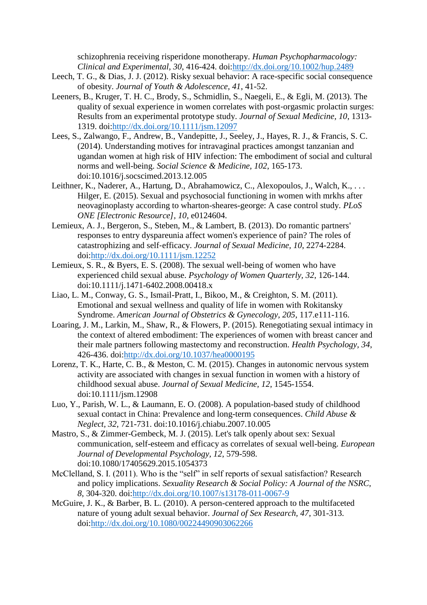schizophrenia receiving risperidone monotherapy. *Human Psychopharmacology: Clinical and Experimental, 30*, 416-424. doi[:http://dx.doi.org/10.1002/hup.2489](http://dx.doi.org/10.1002/hup.2489)

- Leech, T. G., & Dias, J. J. (2012). Risky sexual behavior: A race-specific social consequence of obesity. *Journal of Youth & Adolescence, 41*, 41-52.
- Leeners, B., Kruger, T. H. C., Brody, S., Schmidlin, S., Naegeli, E., & Egli, M. (2013). The quality of sexual experience in women correlates with post‐orgasmic prolactin surges: Results from an experimental prototype study. *Journal of Sexual Medicine, 10*, 1313- 1319. doi[:http://dx.doi.org/10.1111/jsm.12097](http://dx.doi.org/10.1111/jsm.12097)
- Lees, S., Zalwango, F., Andrew, B., Vandepitte, J., Seeley, J., Hayes, R. J., & Francis, S. C. (2014). Understanding motives for intravaginal practices amongst tanzanian and ugandan women at high risk of HIV infection: The embodiment of social and cultural norms and well-being. *Social Science & Medicine, 102*, 165-173. doi:10.1016/j.socscimed.2013.12.005
- Leithner, K., Naderer, A., Hartung, D., Abrahamowicz, C., Alexopoulos, J., Walch, K., ... Hilger, E. (2015). Sexual and psychosocial functioning in women with mrkhs after neovaginoplasty according to wharton-sheares-george: A case control study. *PLoS ONE [Electronic Resource], 10*, e0124604.
- Lemieux, A. J., Bergeron, S., Steben, M., & Lambert, B. (2013). Do romantic partners' responses to entry dyspareunia affect women's experience of pain? The roles of catastrophizing and self‐efficacy. *Journal of Sexual Medicine, 10*, 2274-2284. doi[:http://dx.doi.org/10.1111/jsm.12252](http://dx.doi.org/10.1111/jsm.12252)
- Lemieux, S. R., & Byers, E. S. (2008). The sexual well-being of women who have experienced child sexual abuse. *Psychology of Women Quarterly, 32*, 126-144. doi:10.1111/j.1471-6402.2008.00418.x
- Liao, L. M., Conway, G. S., Ismail-Pratt, I., Bikoo, M., & Creighton, S. M. (2011). Emotional and sexual wellness and quality of life in women with Rokitansky Syndrome. *American Journal of Obstetrics & Gynecology, 205*, 117.e111-116.
- Loaring, J. M., Larkin, M., Shaw, R., & Flowers, P. (2015). Renegotiating sexual intimacy in the context of altered embodiment: The experiences of women with breast cancer and their male partners following mastectomy and reconstruction. *Health Psychology, 34*, 426-436. doi[:http://dx.doi.org/10.1037/hea0000195](http://dx.doi.org/10.1037/hea0000195)
- Lorenz, T. K., Harte, C. B., & Meston, C. M. (2015). Changes in autonomic nervous system activity are associated with changes in sexual function in women with a history of childhood sexual abuse. *Journal of Sexual Medicine, 12*, 1545-1554. doi:10.1111/jsm.12908
- Luo, Y., Parish, W. L., & Laumann, E. O. (2008). A population-based study of childhood sexual contact in China: Prevalence and long-term consequences. *Child Abuse & Neglect, 32*, 721-731. doi:10.1016/j.chiabu.2007.10.005
- Mastro, S., & Zimmer-Gembeck, M. J. (2015). Let's talk openly about sex: Sexual communication, self-esteem and efficacy as correlates of sexual well-being. *European Journal of Developmental Psychology, 12*, 579-598. doi:10.1080/17405629.2015.1054373
- McClelland, S. I. (2011). Who is the "self" in self reports of sexual satisfaction? Research and policy implications. *Sexuality Research & Social Policy: A Journal of the NSRC, 8*, 304-320. doi[:http://dx.doi.org/10.1007/s13178-011-0067-9](http://dx.doi.org/10.1007/s13178-011-0067-9)
- McGuire, J. K., & Barber, B. L. (2010). A person-centered approach to the multifaceted nature of young adult sexual behavior. *Journal of Sex Research, 47*, 301-313. doi[:http://dx.doi.org/10.1080/00224490903062266](http://dx.doi.org/10.1080/00224490903062266)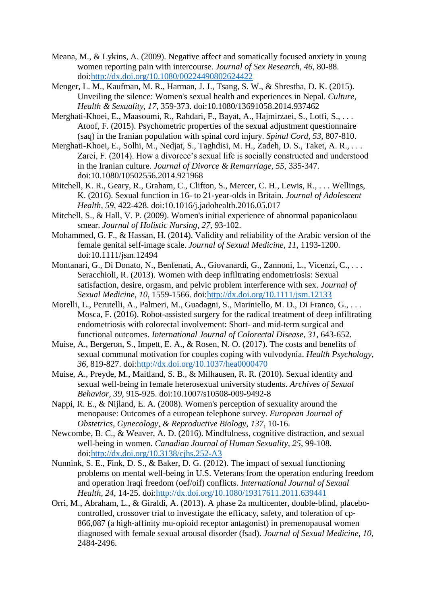- Meana, M., & Lykins, A. (2009). Negative affect and somatically focused anxiety in young women reporting pain with intercourse. *Journal of Sex Research, 46*, 80-88. doi[:http://dx.doi.org/10.1080/00224490802624422](http://dx.doi.org/10.1080/00224490802624422)
- Menger, L. M., Kaufman, M. R., Harman, J. J., Tsang, S. W., & Shrestha, D. K. (2015). Unveiling the silence: Women's sexual health and experiences in Nepal. *Culture, Health & Sexuality, 17*, 359-373. doi:10.1080/13691058.2014.937462
- Merghati-Khoei, E., Maasoumi, R., Rahdari, F., Bayat, A., Hajmirzaei, S., Lotfi, S., . . . Atoof, F. (2015). Psychometric properties of the sexual adjustment questionnaire (saq) in the Iranian population with spinal cord injury. *Spinal Cord, 53*, 807-810.
- Merghati-Khoei, E., Solhi, M., Nedjat, S., Taghdisi, M. H., Zadeh, D. S., Taket, A. R., . . . Zarei, F. (2014). How a divorcee's sexual life is socially constructed and understood in the Iranian culture. *Journal of Divorce & Remarriage, 55*, 335-347. doi:10.1080/10502556.2014.921968
- Mitchell, K. R., Geary, R., Graham, C., Clifton, S., Mercer, C. H., Lewis, R., . . . Wellings, K. (2016). Sexual function in 16- to 21-year-olds in Britain. *Journal of Adolescent Health, 59*, 422-428. doi:10.1016/j.jadohealth.2016.05.017
- Mitchell, S., & Hall, V. P. (2009). Women's initial experience of abnormal papanicolaou smear. *Journal of Holistic Nursing, 27*, 93-102.
- Mohammed, G. F., & Hassan, H. (2014). Validity and reliability of the Arabic version of the female genital self-image scale. *Journal of Sexual Medicine, 11*, 1193-1200. doi:10.1111/jsm.12494
- Montanari, G., Di Donato, N., Benfenati, A., Giovanardi, G., Zannoni, L., Vicenzi, C., . . . Seracchioli, R. (2013). Women with deep infiltrating endometriosis: Sexual satisfaction, desire, orgasm, and pelvic problem interference with sex. *Journal of Sexual Medicine, 10*, 1559-1566. doi[:http://dx.doi.org/10.1111/jsm.12133](http://dx.doi.org/10.1111/jsm.12133)
- Morelli, L., Perutelli, A., Palmeri, M., Guadagni, S., Mariniello, M. D., Di Franco, G., . . . Mosca, F. (2016). Robot-assisted surgery for the radical treatment of deep infiltrating endometriosis with colorectal involvement: Short- and mid-term surgical and functional outcomes. *International Journal of Colorectal Disease, 31*, 643-652.
- Muise, A., Bergeron, S., Impett, E. A., & Rosen, N. O. (2017). The costs and benefits of sexual communal motivation for couples coping with vulvodynia. *Health Psychology, 36*, 819-827. doi[:http://dx.doi.org/10.1037/hea0000470](http://dx.doi.org/10.1037/hea0000470)
- Muise, A., Preyde, M., Maitland, S. B., & Milhausen, R. R. (2010). Sexual identity and sexual well-being in female heterosexual university students. *Archives of Sexual Behavior, 39*, 915-925. doi:10.1007/s10508-009-9492-8
- Nappi, R. E., & Nijland, E. A. (2008). Women's perception of sexuality around the menopause: Outcomes of a european telephone survey. *European Journal of Obstetrics, Gynecology, & Reproductive Biology, 137*, 10-16.
- Newcombe, B. C., & Weaver, A. D. (2016). Mindfulness, cognitive distraction, and sexual well-being in women. *Canadian Journal of Human Sexuality, 25*, 99-108. doi[:http://dx.doi.org/10.3138/cjhs.252-A3](http://dx.doi.org/10.3138/cjhs.252-A3)
- Nunnink, S. E., Fink, D. S., & Baker, D. G. (2012). The impact of sexual functioning problems on mental well-being in U.S. Veterans from the operation enduring freedom and operation Iraqi freedom (oef/oif) conflicts. *International Journal of Sexual Health, 24*, 14-25. doi[:http://dx.doi.org/10.1080/19317611.2011.639441](http://dx.doi.org/10.1080/19317611.2011.639441)
- Orri, M., Abraham, L., & Giraldi, A. (2013). A phase 2a multicenter, double‐blind, placebo‐ controlled, crossover trial to investigate the efficacy, safety, and toleration of cp-866,087 (a high‐affinity mu‐opioid receptor antagonist) in premenopausal women diagnosed with female sexual arousal disorder (fsad). *Journal of Sexual Medicine, 10*, 2484-2496.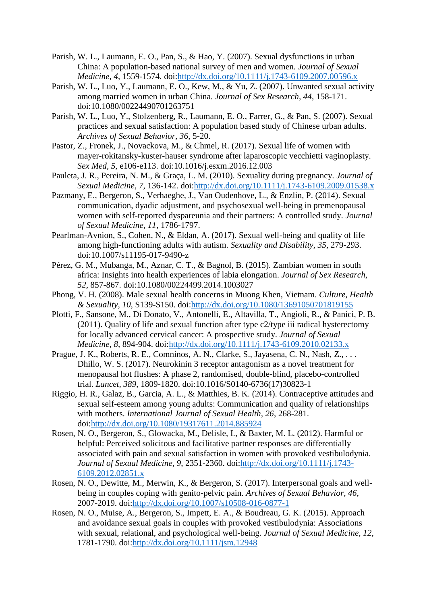- Parish, W. L., Laumann, E. O., Pan, S., & Hao, Y. (2007). Sexual dysfunctions in urban China: A population-based national survey of men and women. *Journal of Sexual Medicine, 4*, 1559-1574. doi[:http://dx.doi.org/10.1111/j.1743-6109.2007.00596.x](http://dx.doi.org/10.1111/j.1743-6109.2007.00596.x)
- Parish, W. L., Luo, Y., Laumann, E. O., Kew, M., & Yu, Z. (2007). Unwanted sexual activity among married women in urban China. *Journal of Sex Research, 44*, 158-171. doi:10.1080/00224490701263751
- Parish, W. L., Luo, Y., Stolzenberg, R., Laumann, E. O., Farrer, G., & Pan, S. (2007). Sexual practices and sexual satisfaction: A population based study of Chinese urban adults. *Archives of Sexual Behavior, 36*, 5-20.
- Pastor, Z., Fronek, J., Novackova, M., & Chmel, R. (2017). Sexual life of women with mayer-rokitansky-kuster-hauser syndrome after laparoscopic vecchietti vaginoplasty. *Sex Med, 5*, e106-e113. doi:10.1016/j.esxm.2016.12.003
- Pauleta, J. R., Pereira, N. M., & Graça, L. M. (2010). Sexuality during pregnancy. *Journal of Sexual Medicine, 7*, 136-142. doi[:http://dx.doi.org/10.1111/j.1743-6109.2009.01538.x](http://dx.doi.org/10.1111/j.1743-6109.2009.01538.x)
- Pazmany, E., Bergeron, S., Verhaeghe, J., Van Oudenhove, L., & Enzlin, P. (2014). Sexual communication, dyadic adjustment, and psychosexual well-being in premenopausal women with self-reported dyspareunia and their partners: A controlled study. *Journal of Sexual Medicine, 11*, 1786-1797.
- Pearlman-Avnion, S., Cohen, N., & Eldan, A. (2017). Sexual well-being and quality of life among high-functioning adults with autism. *Sexuality and Disability, 35*, 279-293. doi:10.1007/s11195-017-9490-z
- Pérez, G. M., Mubanga, M., Aznar, C. T., & Bagnol, B. (2015). Zambian women in south africa: Insights into health experiences of labia elongation. *Journal of Sex Research, 52*, 857-867. doi:10.1080/00224499.2014.1003027
- Phong, V. H. (2008). Male sexual health concerns in Muong Khen, Vietnam. *Culture, Health & Sexuality, 10*, S139-S150. doi[:http://dx.doi.org/10.1080/13691050701819155](http://dx.doi.org/10.1080/13691050701819155)
- Plotti, F., Sansone, M., Di Donato, V., Antonelli, E., Altavilla, T., Angioli, R., & Panici, P. B. (2011). Quality of life and sexual function after type c2/type iii radical hysterectomy for locally advanced cervical cancer: A prospective study. *Journal of Sexual Medicine, 8*, 894-904. doi[:http://dx.doi.org/10.1111/j.1743-6109.2010.02133.x](http://dx.doi.org/10.1111/j.1743-6109.2010.02133.x)
- Prague, J. K., Roberts, R. E., Comninos, A. N., Clarke, S., Jayasena, C. N., Nash, Z., . . . Dhillo, W. S. (2017). Neurokinin 3 receptor antagonism as a novel treatment for menopausal hot flushes: A phase 2, randomised, double-blind, placebo-controlled trial. *Lancet, 389*, 1809-1820. doi:10.1016/S0140-6736(17)30823-1
- Riggio, H. R., Galaz, B., Garcia, A. L., & Matthies, B. K. (2014). Contraceptive attitudes and sexual self-esteem among young adults: Communication and quality of relationships with mothers. *International Journal of Sexual Health, 26*, 268-281. doi[:http://dx.doi.org/10.1080/19317611.2014.885924](http://dx.doi.org/10.1080/19317611.2014.885924)
- Rosen, N. O., Bergeron, S., Glowacka, M., Delisle, I., & Baxter, M. L. (2012). Harmful or helpful: Perceived solicitous and facilitative partner responses are differentially associated with pain and sexual satisfaction in women with provoked vestibulodynia. *Journal of Sexual Medicine, 9*, 2351-2360. doi[:http://dx.doi.org/10.1111/j.1743-](http://dx.doi.org/10.1111/j.1743-6109.2012.02851.x) [6109.2012.02851.x](http://dx.doi.org/10.1111/j.1743-6109.2012.02851.x)
- Rosen, N. O., Dewitte, M., Merwin, K., & Bergeron, S. (2017). Interpersonal goals and wellbeing in couples coping with genito-pelvic pain. *Archives of Sexual Behavior, 46*, 2007-2019. doi[:http://dx.doi.org/10.1007/s10508-016-0877-1](http://dx.doi.org/10.1007/s10508-016-0877-1)
- Rosen, N. O., Muise, A., Bergeron, S., Impett, E. A., & Boudreau, G. K. (2015). Approach and avoidance sexual goals in couples with provoked vestibulodynia: Associations with sexual, relational, and psychological well‐being. *Journal of Sexual Medicine, 12*, 1781-1790. doi[:http://dx.doi.org/10.1111/jsm.12948](http://dx.doi.org/10.1111/jsm.12948)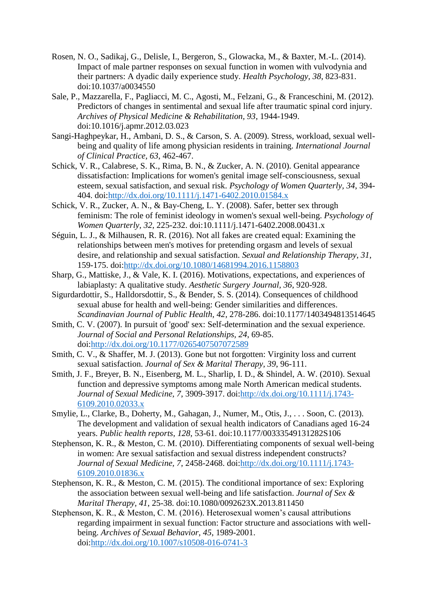- Rosen, N. O., Sadikaj, G., Delisle, I., Bergeron, S., Glowacka, M., & Baxter, M.-L. (2014). Impact of male partner responses on sexual function in women with vulvodynia and their partners: A dyadic daily experience study. *Health Psychology, 38*, 823-831. doi:10.1037/a0034550
- Sale, P., Mazzarella, F., Pagliacci, M. C., Agosti, M., Felzani, G., & Franceschini, M. (2012). Predictors of changes in sentimental and sexual life after traumatic spinal cord injury. *Archives of Physical Medicine & Rehabilitation, 93*, 1944-1949. doi:10.1016/j.apmr.2012.03.023
- Sangi-Haghpeykar, H., Ambani, D. S., & Carson, S. A. (2009). Stress, workload, sexual wellbeing and quality of life among physician residents in training. *International Journal of Clinical Practice, 63*, 462-467.
- Schick, V. R., Calabrese, S. K., Rima, B. N., & Zucker, A. N. (2010). Genital appearance dissatisfaction: Implications for women's genital image self-consciousness, sexual esteem, sexual satisfaction, and sexual risk. *Psychology of Women Quarterly, 34*, 394- 404. doi[:http://dx.doi.org/10.1111/j.1471-6402.2010.01584.x](http://dx.doi.org/10.1111/j.1471-6402.2010.01584.x)
- Schick, V. R., Zucker, A. N., & Bay-Cheng, L. Y. (2008). Safer, better sex through feminism: The role of feminist ideology in women's sexual well-being. *Psychology of Women Quarterly, 32*, 225-232. doi:10.1111/j.1471-6402.2008.00431.x
- Séguin, L. J., & Milhausen, R. R. (2016). Not all fakes are created equal: Examining the relationships between men's motives for pretending orgasm and levels of sexual desire, and relationship and sexual satisfaction. *Sexual and Relationship Therapy, 31*, 159-175. doi[:http://dx.doi.org/10.1080/14681994.2016.1158803](http://dx.doi.org/10.1080/14681994.2016.1158803)
- Sharp, G., Mattiske, J., & Vale, K. I. (2016). Motivations, expectations, and experiences of labiaplasty: A qualitative study. *Aesthetic Surgery Journal, 36*, 920-928.
- Sigurdardottir, S., Halldorsdottir, S., & Bender, S. S. (2014). Consequences of childhood sexual abuse for health and well-being: Gender similarities and differences. *Scandinavian Journal of Public Health, 42*, 278-286. doi:10.1177/1403494813514645
- Smith, C. V. (2007). In pursuit of 'good' sex: Self-determination and the sexual experience. *Journal of Social and Personal Relationships, 24*, 69-85. doi[:http://dx.doi.org/10.1177/0265407507072589](http://dx.doi.org/10.1177/0265407507072589)
- Smith, C. V., & Shaffer, M. J. (2013). Gone but not forgotten: Virginity loss and current sexual satisfaction. *Journal of Sex & Marital Therapy, 39*, 96-111.
- Smith, J. F., Breyer, B. N., Eisenberg, M. L., Sharlip, I. D., & Shindel, A. W. (2010). Sexual function and depressive symptoms among male North American medical students. *Journal of Sexual Medicine, 7*, 3909-3917. doi[:http://dx.doi.org/10.1111/j.1743-](http://dx.doi.org/10.1111/j.1743-6109.2010.02033.x) [6109.2010.02033.x](http://dx.doi.org/10.1111/j.1743-6109.2010.02033.x)
- Smylie, L., Clarke, B., Doherty, M., Gahagan, J., Numer, M., Otis, J., . . . Soon, C. (2013). The development and validation of sexual health indicators of Canadians aged 16-24 years. *Public health reports, 128*, 53-61. doi:10.1177/00333549131282S106
- Stephenson, K. R., & Meston, C. M. (2010). Differentiating components of sexual well-being in women: Are sexual satisfaction and sexual distress independent constructs? *Journal of Sexual Medicine, 7*, 2458-2468. doi[:http://dx.doi.org/10.1111/j.1743-](http://dx.doi.org/10.1111/j.1743-6109.2010.01836.x) [6109.2010.01836.x](http://dx.doi.org/10.1111/j.1743-6109.2010.01836.x)
- Stephenson, K. R., & Meston, C. M. (2015). The conditional importance of sex: Exploring the association between sexual well-being and life satisfaction. *Journal of Sex & Marital Therapy, 41*, 25-38. doi:10.1080/0092623X.2013.811450
- Stephenson, K. R., & Meston, C. M. (2016). Heterosexual women's causal attributions regarding impairment in sexual function: Factor structure and associations with wellbeing. *Archives of Sexual Behavior, 45*, 1989-2001. doi[:http://dx.doi.org/10.1007/s10508-016-0741-3](http://dx.doi.org/10.1007/s10508-016-0741-3)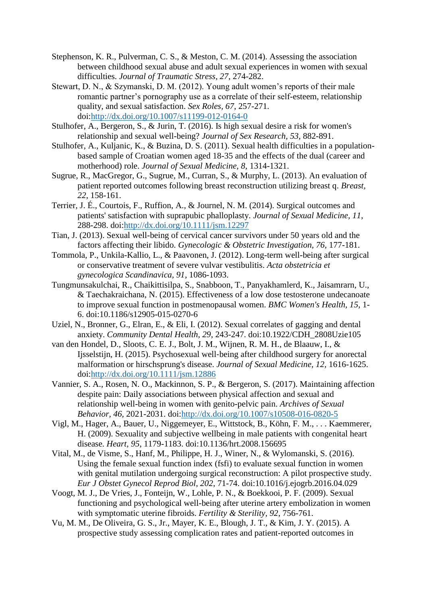- Stephenson, K. R., Pulverman, C. S., & Meston, C. M. (2014). Assessing the association between childhood sexual abuse and adult sexual experiences in women with sexual difficulties. *Journal of Traumatic Stress, 27*, 274-282.
- Stewart, D. N., & Szymanski, D. M. (2012). Young adult women's reports of their male romantic partner's pornography use as a correlate of their self-esteem, relationship quality, and sexual satisfaction. *Sex Roles, 67*, 257-271. doi[:http://dx.doi.org/10.1007/s11199-012-0164-0](http://dx.doi.org/10.1007/s11199-012-0164-0)
- Stulhofer, A., Bergeron, S., & Jurin, T. (2016). Is high sexual desire a risk for women's relationship and sexual well-being? *Journal of Sex Research, 53*, 882-891.
- Stulhofer, A., Kuljanic, K., & Buzina, D. S. (2011). Sexual health difficulties in a populationbased sample of Croatian women aged 18-35 and the effects of the dual (career and motherhood) role. *Journal of Sexual Medicine, 8*, 1314-1321.
- Sugrue, R., MacGregor, G., Sugrue, M., Curran, S., & Murphy, L. (2013). An evaluation of patient reported outcomes following breast reconstruction utilizing breast q. *Breast, 22*, 158-161.
- Terrier, J. É., Courtois, F., Ruffion, A., & Journel, N. M. (2014). Surgical outcomes and patients' satisfaction with suprapubic phalloplasty. *Journal of Sexual Medicine, 11*, 288-298. doi[:http://dx.doi.org/10.1111/jsm.12297](http://dx.doi.org/10.1111/jsm.12297)
- Tian, J. (2013). Sexual well-being of cervical cancer survivors under 50 years old and the factors affecting their libido. *Gynecologic & Obstetric Investigation, 76*, 177-181.
- Tommola, P., Unkila-Kallio, L., & Paavonen, J. (2012). Long-term well-being after surgical or conservative treatment of severe vulvar vestibulitis. *Acta obstetricia et gynecologica Scandinavica, 91*, 1086-1093.
- Tungmunsakulchai, R., Chaikittisilpa, S., Snabboon, T., Panyakhamlerd, K., Jaisamrarn, U., & Taechakraichana, N. (2015). Effectiveness of a low dose testosterone undecanoate to improve sexual function in postmenopausal women. *BMC Women's Health, 15*, 1- 6. doi:10.1186/s12905-015-0270-6
- Uziel, N., Bronner, G., Elran, E., & Eli, I. (2012). Sexual correlates of gagging and dental anxiety. *Community Dental Health, 29*, 243-247. doi:10.1922/CDH\_2808Uzie105
- van den Hondel, D., Sloots, C. E. J., Bolt, J. M., Wijnen, R. M. H., de Blaauw, I., & Ijsselstijn, H. (2015). Psychosexual well‐being after childhood surgery for anorectal malformation or hirschsprung's disease. *Journal of Sexual Medicine, 12*, 1616-1625. doi[:http://dx.doi.org/10.1111/jsm.12886](http://dx.doi.org/10.1111/jsm.12886)
- Vannier, S. A., Rosen, N. O., Mackinnon, S. P., & Bergeron, S. (2017). Maintaining affection despite pain: Daily associations between physical affection and sexual and relationship well-being in women with genito-pelvic pain. *Archives of Sexual Behavior, 46*, 2021-2031. doi[:http://dx.doi.org/10.1007/s10508-016-0820-5](http://dx.doi.org/10.1007/s10508-016-0820-5)
- Vigl, M., Hager, A., Bauer, U., Niggemeyer, E., Wittstock, B., Köhn, F. M., . . . Kaemmerer, H. (2009). Sexuality and subjective wellbeing in male patients with congenital heart disease. *Heart, 95*, 1179-1183. doi:10.1136/hrt.2008.156695
- Vital, M., de Visme, S., Hanf, M., Philippe, H. J., Winer, N., & Wylomanski, S. (2016). Using the female sexual function index (fsfi) to evaluate sexual function in women with genital mutilation undergoing surgical reconstruction: A pilot prospective study. *Eur J Obstet Gynecol Reprod Biol, 202*, 71-74. doi:10.1016/j.ejogrb.2016.04.029
- Voogt, M. J., De Vries, J., Fonteijn, W., Lohle, P. N., & Boekkooi, P. F. (2009). Sexual functioning and psychological well-being after uterine artery embolization in women with symptomatic uterine fibroids. *Fertility & Sterility, 92*, 756-761.
- Vu, M. M., De Oliveira, G. S., Jr., Mayer, K. E., Blough, J. T., & Kim, J. Y. (2015). A prospective study assessing complication rates and patient-reported outcomes in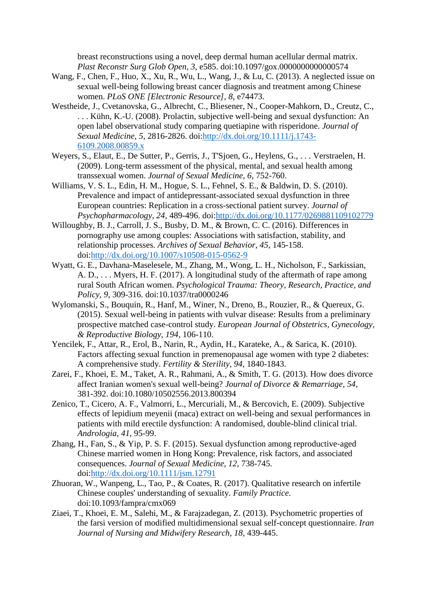breast reconstructions using a novel, deep dermal human acellular dermal matrix. *Plast Reconstr Surg Glob Open, 3*, e585. doi:10.1097/gox.0000000000000574

- Wang, F., Chen, F., Huo, X., Xu, R., Wu, L., Wang, J., & Lu, C. (2013). A neglected issue on sexual well-being following breast cancer diagnosis and treatment among Chinese women. *PLoS ONE [Electronic Resource], 8*, e74473.
- Westheide, J., Cvetanovska, G., Albrecht, C., Bliesener, N., Cooper-Mahkorn, D., Creutz, C., . . . Kühn, K.-U. (2008). Prolactin, subjective well-being and sexual dysfunction: An open label observational study comparing quetiapine with risperidone. *Journal of Sexual Medicine, 5*, 2816-2826. doi[:http://dx.doi.org/10.1111/j.1743-](http://dx.doi.org/10.1111/j.1743-6109.2008.00859.x) [6109.2008.00859.x](http://dx.doi.org/10.1111/j.1743-6109.2008.00859.x)
- Weyers, S., Elaut, E., De Sutter, P., Gerris, J., T'Sjoen, G., Heylens, G., . . . Verstraelen, H. (2009). Long-term assessment of the physical, mental, and sexual health among transsexual women. *Journal of Sexual Medicine, 6*, 752-760.
- Williams, V. S. L., Edin, H. M., Hogue, S. L., Fehnel, S. E., & Baldwin, D. S. (2010). Prevalence and impact of antidepressant-associated sexual dysfunction in three European countries: Replication in a cross-sectional patient survey. *Journal of Psychopharmacology, 24*, 489-496. doi[:http://dx.doi.org/10.1177/0269881109102779](http://dx.doi.org/10.1177/0269881109102779)
- Willoughby, B. J., Carroll, J. S., Busby, D. M., & Brown, C. C. (2016). Differences in pornography use among couples: Associations with satisfaction, stability, and relationship processes. *Archives of Sexual Behavior, 45*, 145-158. doi[:http://dx.doi.org/10.1007/s10508-015-0562-9](http://dx.doi.org/10.1007/s10508-015-0562-9)
- Wyatt, G. E., Davhana-Maselesele, M., Zhang, M., Wong, L. H., Nicholson, F., Sarkissian, A. D., . . . Myers, H. F. (2017). A longitudinal study of the aftermath of rape among rural South African women. *Psychological Trauma: Theory, Research, Practice, and Policy, 9*, 309-316. doi:10.1037/tra0000246
- Wylomanski, S., Bouquin, R., Hanf, M., Winer, N., Dreno, B., Rouzier, R., & Quereux, G. (2015). Sexual well-being in patients with vulvar disease: Results from a preliminary prospective matched case-control study. *European Journal of Obstetrics, Gynecology, & Reproductive Biology, 194*, 106-110.
- Yencilek, F., Attar, R., Erol, B., Narin, R., Aydin, H., Karateke, A., & Sarica, K. (2010). Factors affecting sexual function in premenopausal age women with type 2 diabetes: A comprehensive study. *Fertility & Sterility, 94*, 1840-1843.
- Zarei, F., Khoei, E. M., Taket, A. R., Rahmani, A., & Smith, T. G. (2013). How does divorce affect Iranian women's sexual well-being? *Journal of Divorce & Remarriage, 54*, 381-392. doi:10.1080/10502556.2013.800394
- Zenico, T., Cicero, A. F., Valmorri, L., Mercuriali, M., & Bercovich, E. (2009). Subjective effects of lepidium meyenii (maca) extract on well-being and sexual performances in patients with mild erectile dysfunction: A randomised, double-blind clinical trial. *Andrologia, 41*, 95-99.
- Zhang, H., Fan, S., & Yip, P. S. F. (2015). Sexual dysfunction among reproductive-aged Chinese married women in Hong Kong: Prevalence, risk factors, and associated consequences. *Journal of Sexual Medicine, 12*, 738-745. doi[:http://dx.doi.org/10.1111/jsm.12791](http://dx.doi.org/10.1111/jsm.12791)
- Zhuoran, W., Wanpeng, L., Tao, P., & Coates, R. (2017). Qualitative research on infertile Chinese couples' understanding of sexuality. *Family Practice*. doi:10.1093/fampra/cmx069
- Ziaei, T., Khoei, E. M., Salehi, M., & Farajzadegan, Z. (2013). Psychometric properties of the farsi version of modified multidimensional sexual self-concept questionnaire. *Iran Journal of Nursing and Midwifery Research, 18*, 439-445.